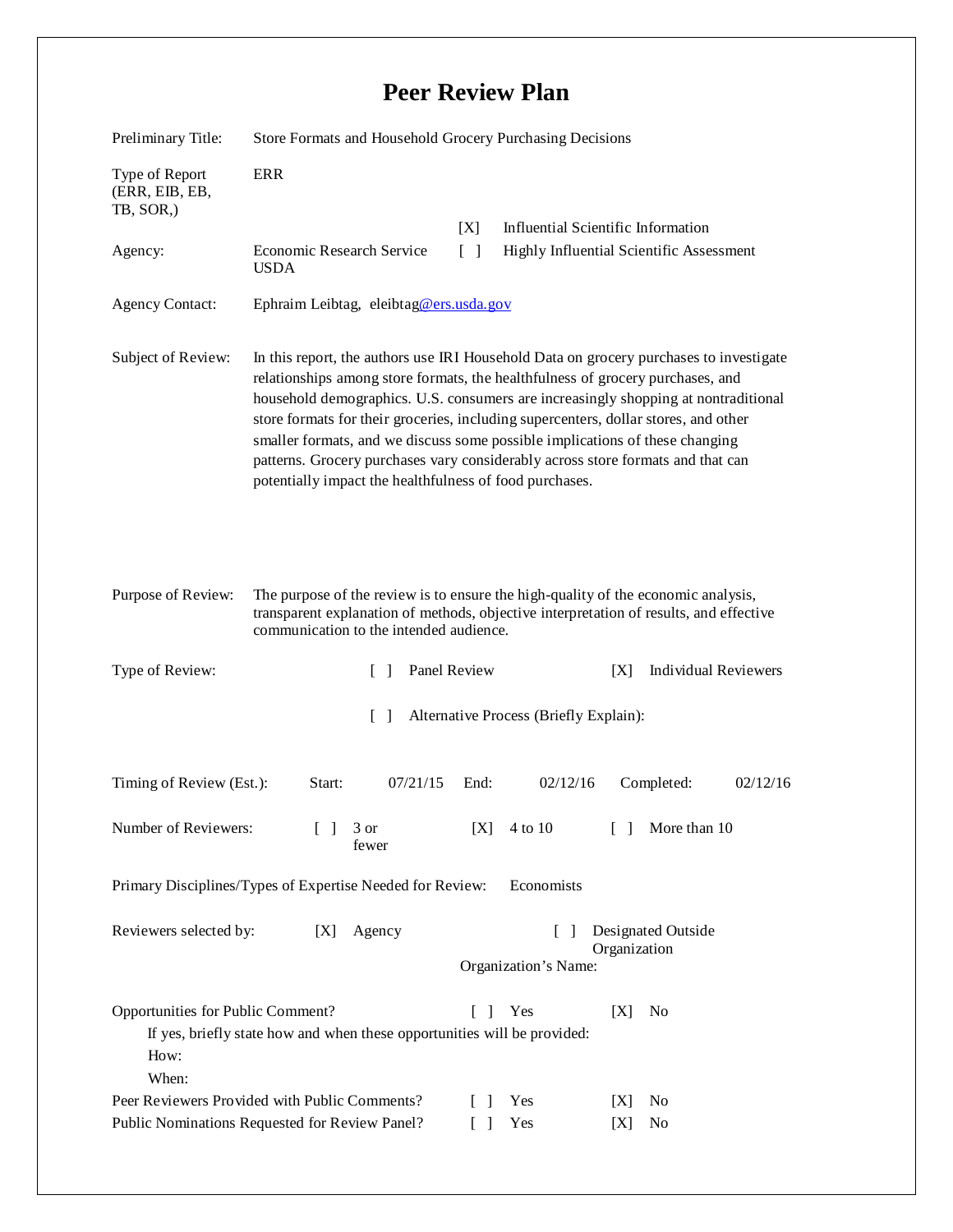## **Peer Review Plan**

| Preliminary Title:                                                                                                                                                                    | Store Formats and Household Grocery Purchasing Decisions                                                                                                                                                                                                                                                                                                                                                                                                                                                                                                                            |                                                                                                 |                             |
|---------------------------------------------------------------------------------------------------------------------------------------------------------------------------------------|-------------------------------------------------------------------------------------------------------------------------------------------------------------------------------------------------------------------------------------------------------------------------------------------------------------------------------------------------------------------------------------------------------------------------------------------------------------------------------------------------------------------------------------------------------------------------------------|-------------------------------------------------------------------------------------------------|-----------------------------|
| Type of Report<br>(ERR, EIB, EB,<br>TB, SOR,)                                                                                                                                         | <b>ERR</b>                                                                                                                                                                                                                                                                                                                                                                                                                                                                                                                                                                          |                                                                                                 |                             |
| Agency:                                                                                                                                                                               | Economic Research Service<br><b>USDA</b>                                                                                                                                                                                                                                                                                                                                                                                                                                                                                                                                            | Influential Scientific Information<br>[X]<br>Highly Influential Scientific Assessment<br>$\Box$ |                             |
| <b>Agency Contact:</b>                                                                                                                                                                | Ephraim Leibtag, eleibtag@ers.usda.gov                                                                                                                                                                                                                                                                                                                                                                                                                                                                                                                                              |                                                                                                 |                             |
| Subject of Review:                                                                                                                                                                    | In this report, the authors use IRI Household Data on grocery purchases to investigate<br>relationships among store formats, the healthfulness of grocery purchases, and<br>household demographics. U.S. consumers are increasingly shopping at nontraditional<br>store formats for their groceries, including supercenters, dollar stores, and other<br>smaller formats, and we discuss some possible implications of these changing<br>patterns. Grocery purchases vary considerably across store formats and that can<br>potentially impact the healthfulness of food purchases. |                                                                                                 |                             |
| Purpose of Review:                                                                                                                                                                    | The purpose of the review is to ensure the high-quality of the economic analysis,<br>transparent explanation of methods, objective interpretation of results, and effective<br>communication to the intended audience.                                                                                                                                                                                                                                                                                                                                                              |                                                                                                 |                             |
| Type of Review:                                                                                                                                                                       | Panel Review<br>$\Box$                                                                                                                                                                                                                                                                                                                                                                                                                                                                                                                                                              | [X]                                                                                             | <b>Individual Reviewers</b> |
| $\lceil \rceil$<br>Alternative Process (Briefly Explain):                                                                                                                             |                                                                                                                                                                                                                                                                                                                                                                                                                                                                                                                                                                                     |                                                                                                 |                             |
| Timing of Review (Est.):                                                                                                                                                              | 07/21/15<br>Start:                                                                                                                                                                                                                                                                                                                                                                                                                                                                                                                                                                  | 02/12/16<br>End:                                                                                | 02/12/16<br>Completed:      |
| Number of Reviewers:                                                                                                                                                                  | 3 or<br>fewer                                                                                                                                                                                                                                                                                                                                                                                                                                                                                                                                                                       | [X]<br>4 to 10                                                                                  | [ ] More than 10            |
| Primary Disciplines/Types of Expertise Needed for Review:<br>Economists                                                                                                               |                                                                                                                                                                                                                                                                                                                                                                                                                                                                                                                                                                                     |                                                                                                 |                             |
| Reviewers selected by:<br>Agency<br>[X]                                                                                                                                               |                                                                                                                                                                                                                                                                                                                                                                                                                                                                                                                                                                                     | Designated Outside<br>Organization<br>Organization's Name:                                      |                             |
| Opportunities for Public Comment?<br>$\begin{bmatrix} \end{bmatrix}$<br>Yes<br>No<br>[X]<br>If yes, briefly state how and when these opportunities will be provided:<br>How:<br>When: |                                                                                                                                                                                                                                                                                                                                                                                                                                                                                                                                                                                     |                                                                                                 |                             |
| Peer Reviewers Provided with Public Comments?<br>Public Nominations Requested for Review Panel?                                                                                       |                                                                                                                                                                                                                                                                                                                                                                                                                                                                                                                                                                                     | Yes<br>[X]<br>L<br>$\overline{\phantom{a}}$<br>Yes<br>$\begin{bmatrix} \end{bmatrix}$<br>[X]    | N <sub>0</sub><br>No        |